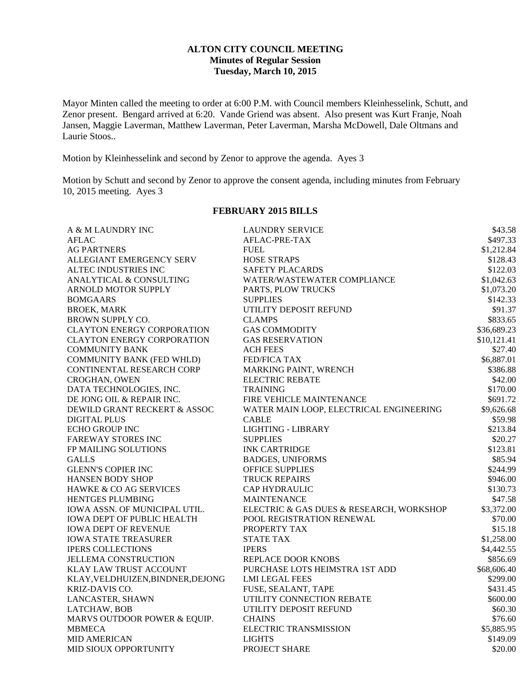## **ALTON CITY COUNCIL MEETING Minutes of Regular Session Tuesday, March 10, 2015**

Mayor Minten called the meeting to order at 6:00 P.M. with Council members Kleinhesselink, Schutt, and Zenor present. Bengard arrived at 6:20. Vande Griend was absent. Also present was Kurt Franje, Noah Jansen, Maggie Laverman, Matthew Laverman, Peter Laverman, Marsha McDowell, Dale Oltmans and Laurie Stoos..

Motion by Kleinhesselink and second by Zenor to approve the agenda. Ayes 3

Motion by Schutt and second by Zenor to approve the consent agenda, including minutes from February 10, 2015 meeting. Ayes 3

### **FEBRUARY 2015 BILLS**

| A & M LAUNDRY INC                 | <b>LAUNDRY SERVICE</b>                   | \$43.58     |
|-----------------------------------|------------------------------------------|-------------|
| <b>AFLAC</b>                      | AFLAC-PRE-TAX                            | \$497.33    |
| <b>AG PARTNERS</b>                | <b>FUEL</b>                              | \$1,212.84  |
| ALLEGIANT EMERGENCY SERV          | <b>HOSE STRAPS</b>                       | \$128.43    |
| ALTEC INDUSTRIES INC              | <b>SAFETY PLACARDS</b>                   | \$122.03    |
| ANALYTICAL & CONSULTING           | WATER/WASTEWATER COMPLIANCE              | \$1,042.63  |
| ARNOLD MOTOR SUPPLY               | PARTS, PLOW TRUCKS                       | \$1,073.20  |
| <b>BOMGAARS</b>                   | <b>SUPPLIES</b>                          | \$142.33    |
| <b>BROEK, MARK</b>                | UTILITY DEPOSIT REFUND                   | \$91.37     |
| BROWN SUPPLY CO.                  | <b>CLAMPS</b>                            | \$833.65    |
| <b>CLAYTON ENERGY CORPORATION</b> | <b>GAS COMMODITY</b>                     | \$36,689.23 |
| <b>CLAYTON ENERGY CORPORATION</b> | <b>GAS RESERVATION</b>                   | \$10,121.41 |
| <b>COMMUNITY BANK</b>             | <b>ACH FEES</b>                          | \$27.40     |
| COMMUNITY BANK (FED WHLD)         | FED/FICA TAX                             | \$6,887.01  |
| CONTINENTAL RESEARCH CORP         | MARKING PAINT, WRENCH                    | \$386.88    |
| <b>CROGHAN, OWEN</b>              | <b>ELECTRIC REBATE</b>                   | \$42.00     |
| DATA TECHNOLOGIES, INC.           | <b>TRAINING</b>                          | \$170.00    |
| DE JONG OIL & REPAIR INC.         | FIRE VEHICLE MAINTENANCE                 | \$691.72    |
| DEWILD GRANT RECKERT & ASSOC      | WATER MAIN LOOP, ELECTRICAL ENGINEERING  | \$9,626.68  |
| <b>DIGITAL PLUS</b>               | <b>CABLE</b>                             | \$59.98     |
| <b>ECHO GROUP INC</b>             | <b>LIGHTING - LIBRARY</b>                | \$213.84    |
| <b>FAREWAY STORES INC</b>         | <b>SUPPLIES</b>                          | \$20.27     |
| FP MAILING SOLUTIONS              | <b>INK CARTRIDGE</b>                     | \$123.81    |
| <b>GALLS</b>                      | <b>BADGES, UNIFORMS</b>                  | \$85.94     |
| <b>GLENN'S COPIER INC</b>         | OFFICE SUPPLIES                          | \$244.99    |
| HANSEN BODY SHOP                  | <b>TRUCK REPAIRS</b>                     | \$946.00    |
| HAWKE & CO AG SERVICES            | <b>CAP HYDRAULIC</b>                     | \$130.73    |
| HENTGES PLUMBING                  | <b>MAINTENANCE</b>                       | \$47.58     |
| IOWA ASSN. OF MUNICIPAL UTIL.     | ELECTRIC & GAS DUES & RESEARCH, WORKSHOP | \$3,372.00  |
| <b>IOWA DEPT OF PUBLIC HEALTH</b> | POOL REGISTRATION RENEWAL                | \$70.00     |
| <b>IOWA DEPT OF REVENUE</b>       | PROPERTY TAX                             | \$15.18     |
| <b>IOWA STATE TREASURER</b>       | <b>STATE TAX</b>                         | \$1,258.00  |
| <b>IPERS COLLECTIONS</b>          | <b>IPERS</b>                             | \$4,442.55  |
| <b>JELLEMA CONSTRUCTION</b>       | REPLACE DOOR KNOBS                       | \$856.69    |
| KLAY LAW TRUST ACCOUNT            | PURCHASE LOTS HEIMSTRA 1ST ADD           | \$68,606.40 |
| KLAY, VELDHUIZEN, BINDNER, DEJONG | <b>LMI LEGAL FEES</b>                    | \$299.00    |
| <b>KRIZ-DAVIS CO.</b>             | FUSE, SEALANT, TAPE                      | \$431.45    |
| LANCASTER, SHAWN                  | UTILITY CONNECTION REBATE                | \$600.00    |
| LATCHAW, BOB                      | UTILITY DEPOSIT REFUND                   | \$60.30     |
| MARVS OUTDOOR POWER & EQUIP.      | <b>CHAINS</b>                            | \$76.60     |
| <b>MBMECA</b>                     | <b>ELECTRIC TRANSMISSION</b>             | \$5,885.95  |
| <b>MID AMERICAN</b>               | <b>LIGHTS</b>                            | \$149.09    |
| MID SIOUX OPPORTUNITY             | PROJECT SHARE                            | \$20.00     |
|                                   |                                          |             |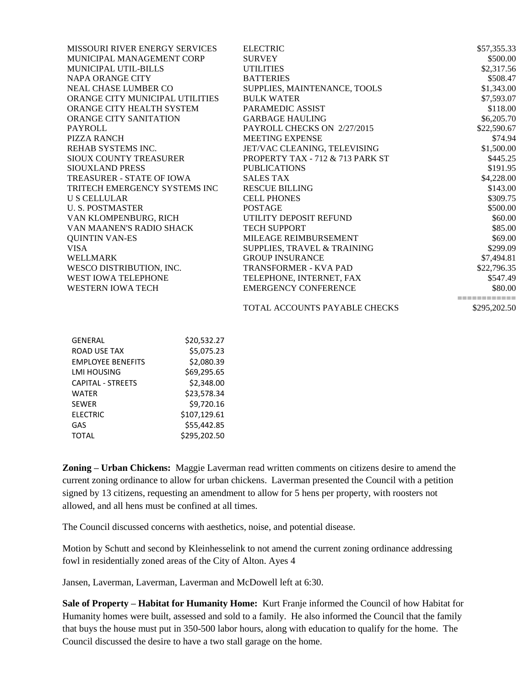| <b>MISSOURI RIVER ENERGY SERVICES</b> | <b>ELECTRIC</b>                  | \$57,355.33  |
|---------------------------------------|----------------------------------|--------------|
| MUNICIPAL MANAGEMENT CORP             | <b>SURVEY</b>                    | \$500.00     |
| MUNICIPAL UTIL-BILLS                  | <b>UTILITIES</b>                 | \$2,317.56   |
| NAPA ORANGE CITY                      | <b>BATTERIES</b>                 | \$508.47     |
| NEAL CHASE LUMBER CO                  | SUPPLIES, MAINTENANCE, TOOLS     | \$1,343.00   |
| ORANGE CITY MUNICIPAL UTILITIES       | <b>BULK WATER</b>                | \$7,593.07   |
| ORANGE CITY HEALTH SYSTEM             | PARAMEDIC ASSIST                 | \$118.00     |
| <b>ORANGE CITY SANITATION</b>         | <b>GARBAGE HAULING</b>           | \$6,205.70   |
| <b>PAYROLL</b>                        | PAYROLL CHECKS ON 2/27/2015      | \$22,590.67  |
| PIZZA RANCH                           | MEETING EXPENSE                  | \$74.94      |
| REHAB SYSTEMS INC.                    | JET/VAC CLEANING, TELEVISING     | \$1,500.00   |
| SIOUX COUNTY TREASURER                | PROPERTY TAX - 712 & 713 PARK ST | \$445.25     |
| <b>SIOUXLAND PRESS</b>                | <b>PUBLICATIONS</b>              | \$191.95     |
| TREASURER - STATE OF IOWA             | <b>SALES TAX</b>                 | \$4,228.00   |
| TRITECH EMERGENCY SYSTEMS INC         | <b>RESCUE BILLING</b>            | \$143.00     |
| <b>U S CELLULAR</b>                   | <b>CELL PHONES</b>               | \$309.75     |
| <b>U. S. POSTMASTER</b>               | <b>POSTAGE</b>                   | \$500.00     |
| VAN KLOMPENBURG, RICH                 | UTILITY DEPOSIT REFUND           | \$60.00      |
| VAN MAANEN'S RADIO SHACK              | <b>TECH SUPPORT</b>              | \$85.00      |
| <b>QUINTIN VAN-ES</b>                 | MILEAGE REIMBURSEMENT            | \$69.00      |
| <b>VISA</b>                           | SUPPLIES, TRAVEL & TRAINING      | \$299.09     |
| <b>WELLMARK</b>                       | <b>GROUP INSURANCE</b>           | \$7,494.81   |
| WESCO DISTRIBUTION, INC.              | <b>TRANSFORMER - KVA PAD</b>     | \$22,796.35  |
| WEST IOWA TELEPHONE                   | TELEPHONE, INTERNET, FAX         | \$547.49     |
| WESTERN IOWA TECH                     | <b>EMERGENCY CONFERENCE</b>      | \$80.00      |
|                                       | TOTAL ACCOUNTS PAYABLE CHECKS    | \$295,202.50 |
|                                       |                                  |              |

| <b>GENERAL</b>           | \$20,532.27  |
|--------------------------|--------------|
| <b>ROAD USE TAX</b>      | \$5,075.23   |
| <b>EMPLOYEE BENEFITS</b> | \$2,080.39   |
| LMI HOUSING              | \$69,295.65  |
| <b>CAPITAL - STREETS</b> | \$2,348.00   |
| WATER                    | \$23,578.34  |
| <b>SEWER</b>             | \$9,720.16   |
| <b>ELECTRIC</b>          | \$107,129.61 |
| GAS                      | \$55,442.85  |
| <b>TOTAL</b>             | \$295,202.50 |

**Zoning – Urban Chickens:** Maggie Laverman read written comments on citizens desire to amend the current zoning ordinance to allow for urban chickens. Laverman presented the Council with a petition signed by 13 citizens, requesting an amendment to allow for 5 hens per property, with roosters not allowed, and all hens must be confined at all times.

The Council discussed concerns with aesthetics, noise, and potential disease.

Motion by Schutt and second by Kleinhesselink to not amend the current zoning ordinance addressing fowl in residentially zoned areas of the City of Alton. Ayes 4

Jansen, Laverman, Laverman, Laverman and McDowell left at 6:30.

**Sale of Property – Habitat for Humanity Home:** Kurt Franje informed the Council of how Habitat for Humanity homes were built, assessed and sold to a family. He also informed the Council that the family that buys the house must put in 350-500 labor hours, along with education to qualify for the home. The Council discussed the desire to have a two stall garage on the home.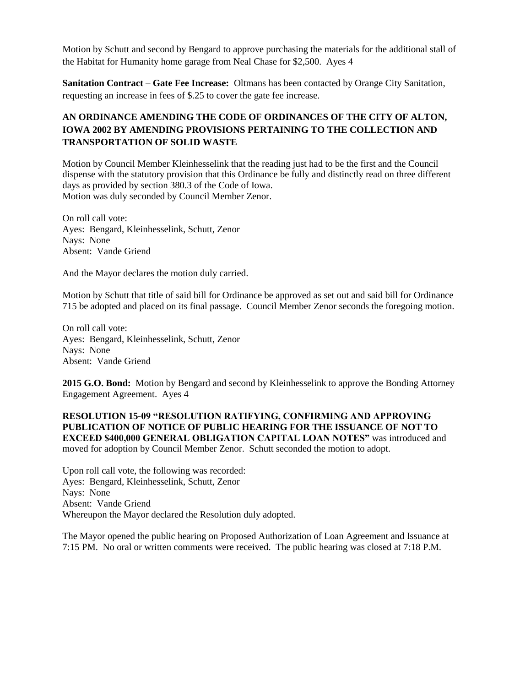Motion by Schutt and second by Bengard to approve purchasing the materials for the additional stall of the Habitat for Humanity home garage from Neal Chase for \$2,500. Ayes 4

**Sanitation Contract – Gate Fee Increase:** Oltmans has been contacted by Orange City Sanitation, requesting an increase in fees of \$.25 to cover the gate fee increase.

# **AN ORDINANCE AMENDING THE CODE OF ORDINANCES OF THE CITY OF ALTON, IOWA 2002 BY AMENDING PROVISIONS PERTAINING TO THE COLLECTION AND TRANSPORTATION OF SOLID WASTE**

Motion by Council Member Kleinhesselink that the reading just had to be the first and the Council dispense with the statutory provision that this Ordinance be fully and distinctly read on three different days as provided by section 380.3 of the Code of Iowa. Motion was duly seconded by Council Member Zenor.

On roll call vote: Ayes: Bengard, Kleinhesselink, Schutt, Zenor Nays: None Absent: Vande Griend

And the Mayor declares the motion duly carried.

Motion by Schutt that title of said bill for Ordinance be approved as set out and said bill for Ordinance 715 be adopted and placed on its final passage. Council Member Zenor seconds the foregoing motion.

On roll call vote: Ayes: Bengard, Kleinhesselink, Schutt, Zenor Nays: None Absent: Vande Griend

**2015 G.O. Bond:** Motion by Bengard and second by Kleinhesselink to approve the Bonding Attorney Engagement Agreement. Ayes 4

**RESOLUTION 15-09 "RESOLUTION RATIFYING, CONFIRMING AND APPROVING PUBLICATION OF NOTICE OF PUBLIC HEARING FOR THE ISSUANCE OF NOT TO EXCEED \$400,000 GENERAL OBLIGATION CAPITAL LOAN NOTES"** was introduced and moved for adoption by Council Member Zenor. Schutt seconded the motion to adopt.

Upon roll call vote, the following was recorded: Ayes: Bengard, Kleinhesselink, Schutt, Zenor Nays: None Absent: Vande Griend Whereupon the Mayor declared the Resolution duly adopted.

The Mayor opened the public hearing on Proposed Authorization of Loan Agreement and Issuance at 7:15 PM. No oral or written comments were received. The public hearing was closed at 7:18 P.M.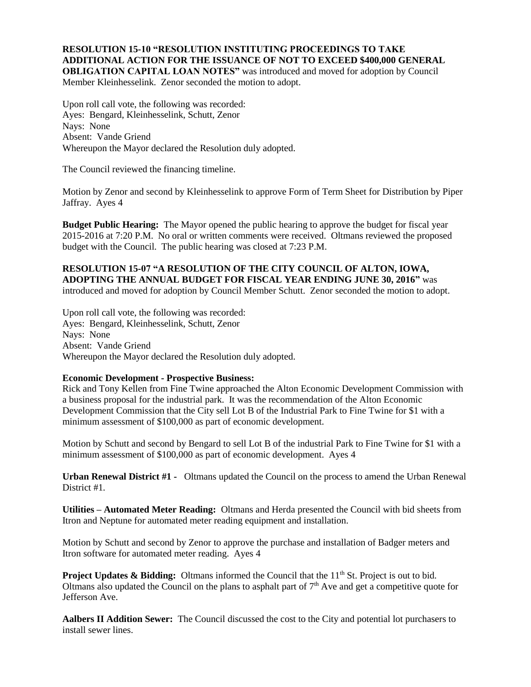### **RESOLUTION 15-10 "RESOLUTION INSTITUTING PROCEEDINGS TO TAKE ADDITIONAL ACTION FOR THE ISSUANCE OF NOT TO EXCEED \$400,000 GENERAL OBLIGATION CAPITAL LOAN NOTES"** was introduced and moved for adoption by Council

Member Kleinhesselink. Zenor seconded the motion to adopt.

Upon roll call vote, the following was recorded: Ayes: Bengard, Kleinhesselink, Schutt, Zenor Nays: None Absent: Vande Griend Whereupon the Mayor declared the Resolution duly adopted.

The Council reviewed the financing timeline.

Motion by Zenor and second by Kleinhesselink to approve Form of Term Sheet for Distribution by Piper Jaffray. Ayes 4

**Budget Public Hearing:** The Mayor opened the public hearing to approve the budget for fiscal year 2015-2016 at 7:20 P.M. No oral or written comments were received. Oltmans reviewed the proposed budget with the Council. The public hearing was closed at 7:23 P.M.

## **RESOLUTION 15-07 "A RESOLUTION OF THE CITY COUNCIL OF ALTON, IOWA, ADOPTING THE ANNUAL BUDGET FOR FISCAL YEAR ENDING JUNE 30, 2016"** was introduced and moved for adoption by Council Member Schutt. Zenor seconded the motion to adopt.

Upon roll call vote, the following was recorded: Ayes: Bengard, Kleinhesselink, Schutt, Zenor Nays: None Absent: Vande Griend Whereupon the Mayor declared the Resolution duly adopted.

## **Economic Development - Prospective Business:**

Rick and Tony Kellen from Fine Twine approached the Alton Economic Development Commission with a business proposal for the industrial park. It was the recommendation of the Alton Economic Development Commission that the City sell Lot B of the Industrial Park to Fine Twine for \$1 with a minimum assessment of \$100,000 as part of economic development.

Motion by Schutt and second by Bengard to sell Lot B of the industrial Park to Fine Twine for \$1 with a minimum assessment of \$100,000 as part of economic development. Ayes 4

**Urban Renewal District #1 -** Oltmans updated the Council on the process to amend the Urban Renewal District #1.

**Utilities – Automated Meter Reading:** Oltmans and Herda presented the Council with bid sheets from Itron and Neptune for automated meter reading equipment and installation.

Motion by Schutt and second by Zenor to approve the purchase and installation of Badger meters and Itron software for automated meter reading. Ayes 4

**Project Updates & Bidding:** Oltmans informed the Council that the 11<sup>th</sup> St. Project is out to bid. Oltmans also updated the Council on the plans to asphalt part of  $7<sup>th</sup>$  Ave and get a competitive quote for Jefferson Ave.

**Aalbers II Addition Sewer:** The Council discussed the cost to the City and potential lot purchasers to install sewer lines.